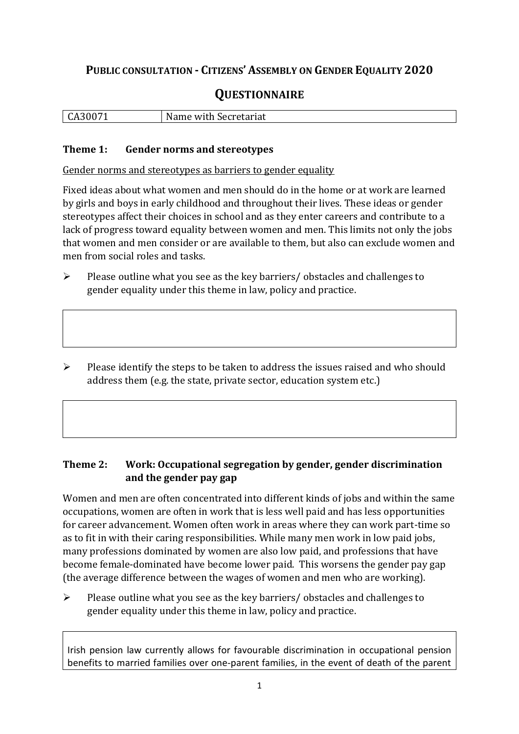## **PUBLIC CONSULTATION - CITIZENS' ASSEMBLY ON GENDER EQUALITY 2020**

## **QUESTIONNAIRE**

|  | CA30071<br><b>UH</b> | Name<br>with Secretariat · |
|--|----------------------|----------------------------|
|--|----------------------|----------------------------|

### **Theme 1: Gender norms and stereotypes**

Gender norms and stereotypes as barriers to gender equality

Fixed ideas about what women and men should do in the home or at work are learned by girls and boys in early childhood and throughout their lives. These ideas or gender stereotypes affect their choices in school and as they enter careers and contribute to a lack of progress toward equality between women and men. This limits not only the jobs that women and men consider or are available to them, but also can exclude women and men from social roles and tasks.

- $\triangleright$  Please outline what you see as the key barriers/ obstacles and challenges to gender equality under this theme in law, policy and practice.
- $\triangleright$  Please identify the steps to be taken to address the issues raised and who should address them (e.g. the state, private sector, education system etc.)

## **Theme 2: Work: Occupational segregation by gender, gender discrimination and the gender pay gap**

Women and men are often concentrated into different kinds of jobs and within the same occupations, women are often in work that is less well paid and has less opportunities for career advancement. Women often work in areas where they can work part-time so as to fit in with their caring responsibilities. While many men work in low paid jobs, many professions dominated by women are also low paid, and professions that have become female-dominated have become lower paid. This worsens the gender pay gap (the average difference between the wages of women and men who are working).

 $\triangleright$  Please outline what you see as the key barriers/ obstacles and challenges to gender equality under this theme in law, policy and practice.

Irish pension law currently allows for favourable discrimination in occupational pension benefits to married families over one-parent families, in the event of death of the parent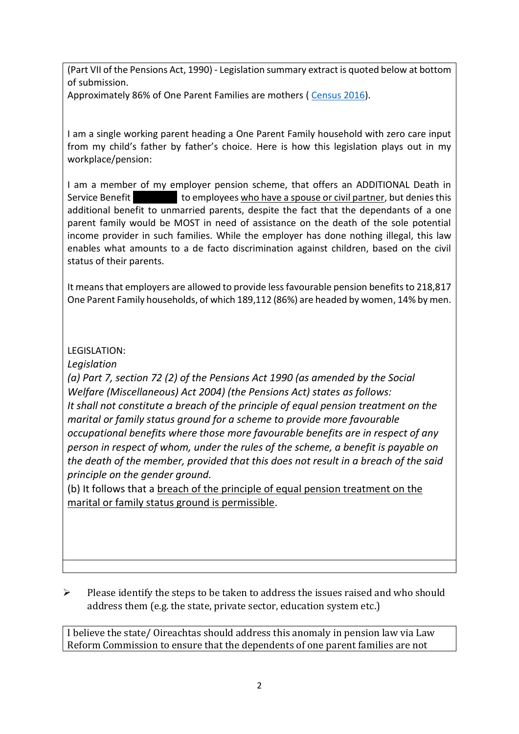(Part VII of the Pensions Act, 1990) - Legislation summary extract is quoted below at bottom of submission.

Approximately 86% of One Parent Families are mothers ( [Census 2016\)](https://www.cso.ie/en/releasesandpublications/ep/p-cp4hf/cp4hf/fmls/).

I am a single working parent heading a One Parent Family household with zero care input from my child's father by father's choice. Here is how this legislation plays out in my workplace/pension:

I am a member of my employer pension scheme, that offers an ADDITIONAL Death in Service Benefit **Exercise 20 and 1** to employees who have a spouse or civil partner, but denies this additional benefit to unmarried parents, despite the fact that the dependants of a one parent family would be MOST in need of assistance on the death of the sole potential income provider in such families. While the employer has done nothing illegal, this law enables what amounts to a de facto discrimination against children, based on the civil status of their parents.

It means that employers are allowed to provide less favourable pension benefits to 218,817 One Parent Family households, of which 189,112 (86%) are headed by women, 14% by men.

## LEGISLATION:

*Legislation* 

*(a) Part 7, section 72 (2) of the Pensions Act 1990 (as amended by the Social Welfare (Miscellaneous) Act 2004) (the Pensions Act) states as follows: It shall not constitute a breach of the principle of equal pension treatment on the marital or family status ground for a scheme to provide more favourable occupational benefits where those more favourable benefits are in respect of any person in respect of whom, under the rules of the scheme, a benefit is payable on the death of the member, provided that this does not result in a breach of the said principle on the gender ground.* 

(b) It follows that a breach of the principle of equal pension treatment on the marital or family status ground is permissible.

 $\triangleright$  Please identify the steps to be taken to address the issues raised and who should address them (e.g. the state, private sector, education system etc.)

I believe the state/ Oireachtas should address this anomaly in pension law via Law Reform Commission to ensure that the dependents of one parent families are not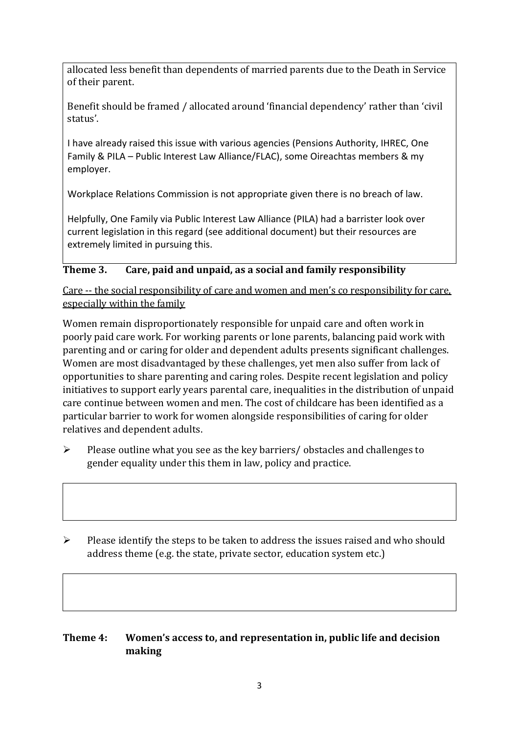allocated less benefit than dependents of married parents due to the Death in Service of their parent.

Benefit should be framed / allocated around 'financial dependency' rather than 'civil status'.

I have already raised this issue with various agencies (Pensions Authority, IHREC, One Family & PILA – Public Interest Law Alliance/FLAC), some Oireachtas members & my employer.

Workplace Relations Commission is not appropriate given there is no breach of law.

Helpfully, One Family via Public Interest Law Alliance (PILA) had a barrister look over current legislation in this regard (see additional document) but their resources are extremely limited in pursuing this.

## **Theme 3. Care, paid and unpaid, as a social and family responsibility**

Care -- the social responsibility of care and women and men's co responsibility for care, especially within the family

Women remain disproportionately responsible for unpaid care and often work in poorly paid care work. For working parents or [lone parents,](https://aran.library.nuigalway.ie/bitstream/handle/10379/6044/Millar_and_Crosse_Activation_Report.pdf?sequence=1&isAllowed=y) balancing paid work with parenting and or caring for older and dependent adults presents significant challenges. Women are [most disadvantaged by these challenges,](https://eige.europa.eu/gender-equality-index/game/IE/W) yet men also suffer from lack of opportunities to share parenting and caring roles. Despite recent legislation and policy initiatives to support early years parental care, [inequalities in the distribution of unpaid](https://www.ihrec.ie/app/uploads/2019/07/Caring-and-Unpaid-Work-in-Ireland_Final.pdf)  [care](https://www.ihrec.ie/app/uploads/2019/07/Caring-and-Unpaid-Work-in-Ireland_Final.pdf) continue between women and men. The cost of childcare has been identified as a particular barrier to work for women alongside responsibilities of caring for older relatives and dependent adults.

- $\triangleright$  Please outline what you see as the key barriers/ obstacles and challenges to gender equality under this them in law, policy and practice.
- $\triangleright$  Please identify the steps to be taken to address the issues raised and who should address theme (e.g. the state, private sector, education system etc.)

## **Theme 4: Women's access to, and representation in, public life and decision making**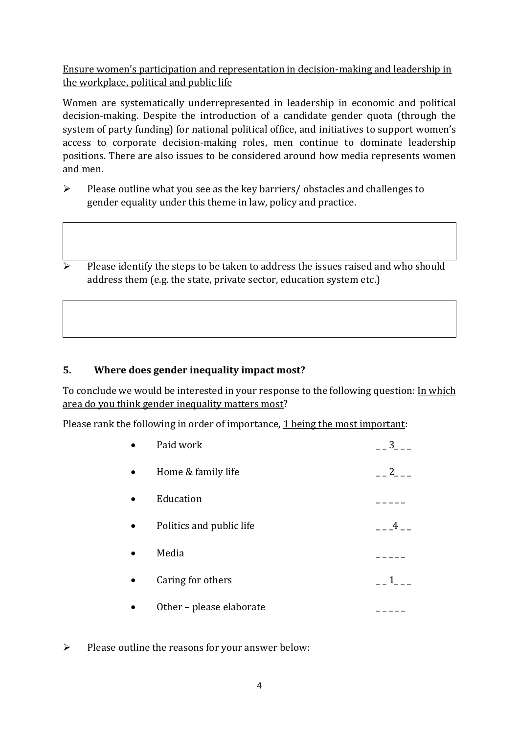Ensure women's participation and representation in decision-making and leadership in the workplace, political and public life

Women are systematically underrepresented in leadership in [economic](https://eige.europa.eu/gender-equality-index/2019/compare-countries/power/2/bar) and [political](https://eige.europa.eu/gender-equality-index/2019/compare-countries/power/1/bar)  [decision-](https://eige.europa.eu/gender-equality-index/2019/compare-countries/power/1/bar)making. Despite the introduction of a candidate gender quota (through the system of party funding) for national political office, and [initiatives](https://betterbalance.ie/) to support women's access to corporate decision-making roles, men continue to dominate leadership positions. There are also issues to be considered around how media represents women and men.

- $\triangleright$  Please outline what you see as the key barriers/ obstacles and challenges to gender equality under this theme in law, policy and practice.
- Please identify the steps to be taken to address the issues raised and who should address them (e.g. the state, private sector, education system etc.)

## **5. Where does gender inequality impact most?**

To conclude we would be interested in your response to the following question: In which area do you think gender inequality matters most?

Please rank the following in order of importance, 1 being the most important:

| Paid work                | 3 <sup>7</sup> |
|--------------------------|----------------|
| Home & family life       | 2              |
| Education                |                |
| Politics and public life |                |
| Media                    |                |
| Caring for others        |                |
| Other - please elaborate |                |
|                          |                |

 $\triangleright$  Please outline the reasons for your answer below: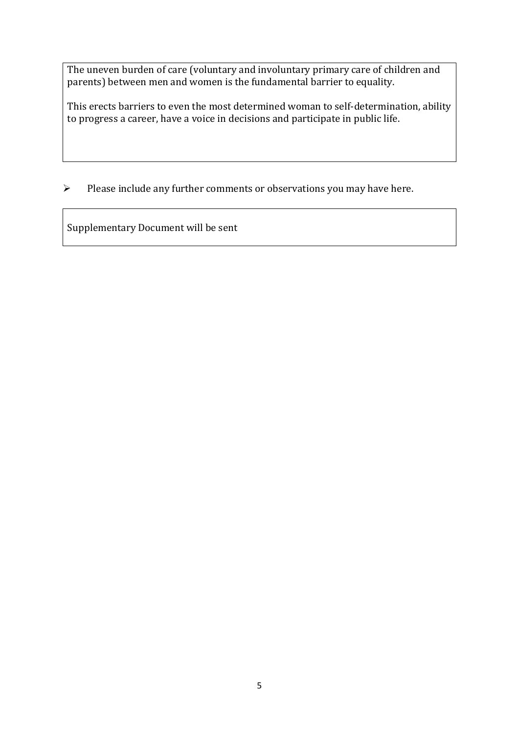The uneven burden of care (voluntary and involuntary primary care of children and parents) between men and women is the fundamental barrier to equality.

This erects barriers to even the most determined woman to self-determination, ability to progress a career, have a voice in decisions and participate in public life.

 $\triangleright$  Please include any further comments or observations you may have here.

Supplementary Document will be sent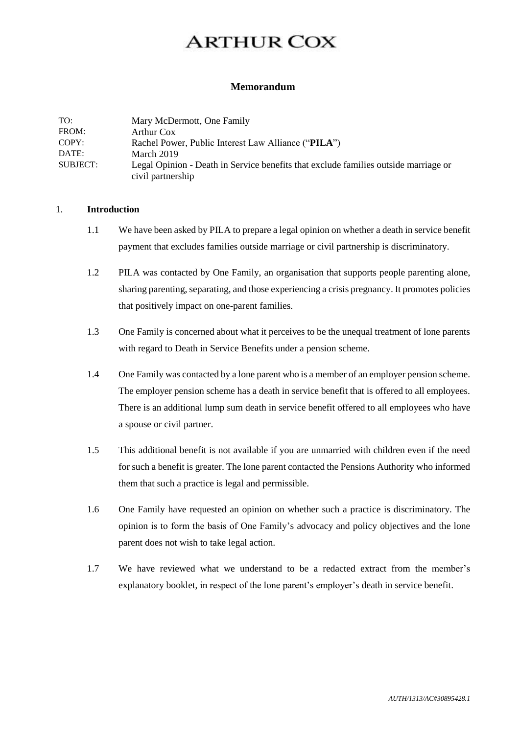# **ARTHUR COX**

#### $\mathbf{D}$ **Memorandum**

| TO:      | Mary McDermott, One Family                                                                               |
|----------|----------------------------------------------------------------------------------------------------------|
| FROM:    | Arthur Cox                                                                                               |
| COPY:    | Rachel Power, Public Interest Law Alliance ("PILA")                                                      |
| DATE:    | March 2019                                                                                               |
| SUBJECT: | Legal Opinion - Death in Service benefits that exclude families outside marriage or<br>civil partnership |

### 1. **Introduction**

- 1.1 We have been asked by PILA to prepare a legal opinion on whether a death in service benefit payment that excludes families outside marriage or civil partnership is discriminatory.
- 1.2 PILA was contacted by One Family, an organisation that supports people parenting alone, sharing parenting, separating, and those experiencing a crisis pregnancy. It promotes policies that positively impact on one-parent families.
- 1.3 One Family is concerned about what it perceives to be the unequal treatment of lone parents with regard to Death in Service Benefits under a pension scheme.
- 1.4 One Family was contacted by a lone parent who is a member of an employer pension scheme. The employer pension scheme has a death in service benefit that is offered to all employees. There is an additional lump sum death in service benefit offered to all employees who have a spouse or civil partner.
- 1.5 This additional benefit is not available if you are unmarried with children even if the need for such a benefit is greater. The lone parent contacted the Pensions Authority who informed them that such a practice is legal and permissible.
- 1.6 One Family have requested an opinion on whether such a practice is discriminatory. The opinion is to form the basis of One Family's advocacy and policy objectives and the lone parent does not wish to take legal action.
- 1.7 We have reviewed what we understand to be a redacted extract from the member's explanatory booklet, in respect of the lone parent's employer's death in service benefit.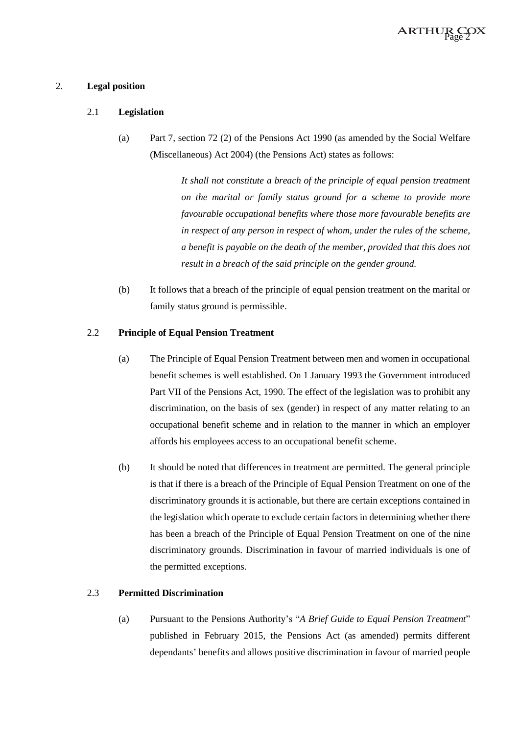

### 2. **Legal position**

### 2.1 **Legislation**

(a) Part 7, section 72 (2) of the Pensions Act 1990 (as amended by the Social Welfare (Miscellaneous) Act 2004) (the Pensions Act) states as follows:

> *It shall not constitute a breach of the principle of equal pension treatment on the marital or family status ground for a scheme to provide more favourable occupational benefits where those more favourable benefits are in respect of any person in respect of whom, under the rules of the scheme, a benefit is payable on the death of the member, provided that this does not result in a breach of the said principle on the gender ground.*

(b) It follows that a breach of the principle of equal pension treatment on the marital or family status ground is permissible.

### 2.2 **Principle of Equal Pension Treatment**

- (a) The Principle of Equal Pension Treatment between men and women in occupational benefit schemes is well established. On 1 January 1993 the Government introduced Part VII of the Pensions Act, 1990. The effect of the legislation was to prohibit any discrimination, on the basis of sex (gender) in respect of any matter relating to an occupational benefit scheme and in relation to the manner in which an employer affords his employees access to an occupational benefit scheme.
- (b) It should be noted that differences in treatment are permitted. The general principle is that if there is a breach of the Principle of Equal Pension Treatment on one of the discriminatory grounds it is actionable, but there are certain exceptions contained in the legislation which operate to exclude certain factors in determining whether there has been a breach of the Principle of Equal Pension Treatment on one of the nine discriminatory grounds. Discrimination in favour of married individuals is one of the permitted exceptions.

### 2.3 **Permitted Discrimination**

(a) Pursuant to the Pensions Authority's "*A Brief Guide to Equal Pension Treatment*" published in February 2015, the Pensions Act (as amended) permits different dependants' benefits and allows positive discrimination in favour of married people